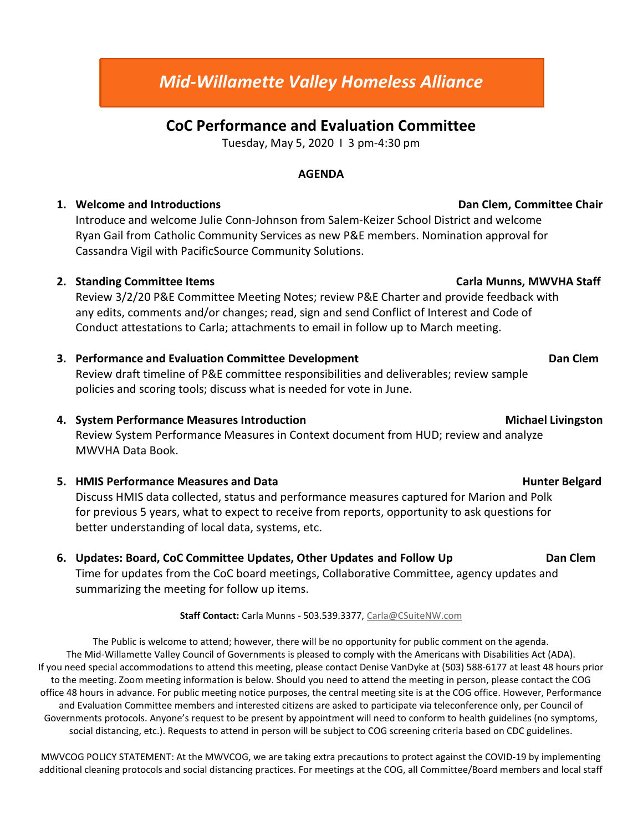# CoC Performance and Evaluation Committee

Tuesday, May 5, 2020 I 3 pm-4:30 pm

### AGENDA

# 1. Welcome and Introductions **Dan Clem, Committee Chair Dan Clem, Committee Chair**

Introduce and welcome Julie Conn-Johnson from Salem-Keizer School District and welcome Ryan Gail from Catholic Community Services as new P&E members. Nomination approval for Cassandra Vigil with PacificSource Community Solutions.

# 2. Standing Committee Items Carla Munns, MWVHA Staff

Review 3/2/20 P&E Committee Meeting Notes; review P&E Charter and provide feedback with any edits, comments and/or changes; read, sign and send Conflict of Interest and Code of Conduct attestations to Carla; attachments to email in follow up to March meeting.

# 3. Performance and Evaluation Committee Development Commercial Communication Clem

Review draft timeline of P&E committee responsibilities and deliverables; review sample policies and scoring tools; discuss what is needed for vote in June.

4. System Performance Measures Introduction **Michael Lick and According to the Control** Michael Livingston

Review System Performance Measures in Context document from HUD; review and analyze MWVHA Data Book.

# 5. HMIS Performance Measures and Data **Hunter Belgard** Hunter Belgard

Discuss HMIS data collected, status and performance measures captured for Marion and Polk for previous 5 years, what to expect to receive from reports, opportunity to ask questions for better understanding of local data, systems, etc.

6. Updates: Board, CoC Committee Updates, Other Updates and Follow Up Dan Clem Time for updates from the CoC board meetings, Collaborative Committee, agency updates and summarizing the meeting for follow up items.

Staff Contact: Carla Munns - 503.539.3377, Carla@CSuiteNW.com

The Public is welcome to attend; however, there will be no opportunity for public comment on the agenda. The Mid-Willamette Valley Council of Governments is pleased to comply with the Americans with Disabilities Act (ADA). If you need special accommodations to attend this meeting, please contact Denise VanDyke at (503) 588-6177 at least 48 hours prior to the meeting. Zoom meeting information is below. Should you need to attend the meeting in person, please contact the COG office 48 hours in advance. For public meeting notice purposes, the central meeting site is at the COG office. However, Performance and Evaluation Committee members and interested citizens are asked to participate via teleconference only, per Council of Governments protocols. Anyone's request to be present by appointment will need to conform to health guidelines (no symptoms, social distancing, etc.). Requests to attend in person will be subject to COG screening criteria based on CDC guidelines.

MWVCOG POLICY STATEMENT: At the MWVCOG, we are taking extra precautions to protect against the COVID-19 by implementing additional cleaning protocols and social distancing practices. For meetings at the COG, all Committee/Board members and local staff